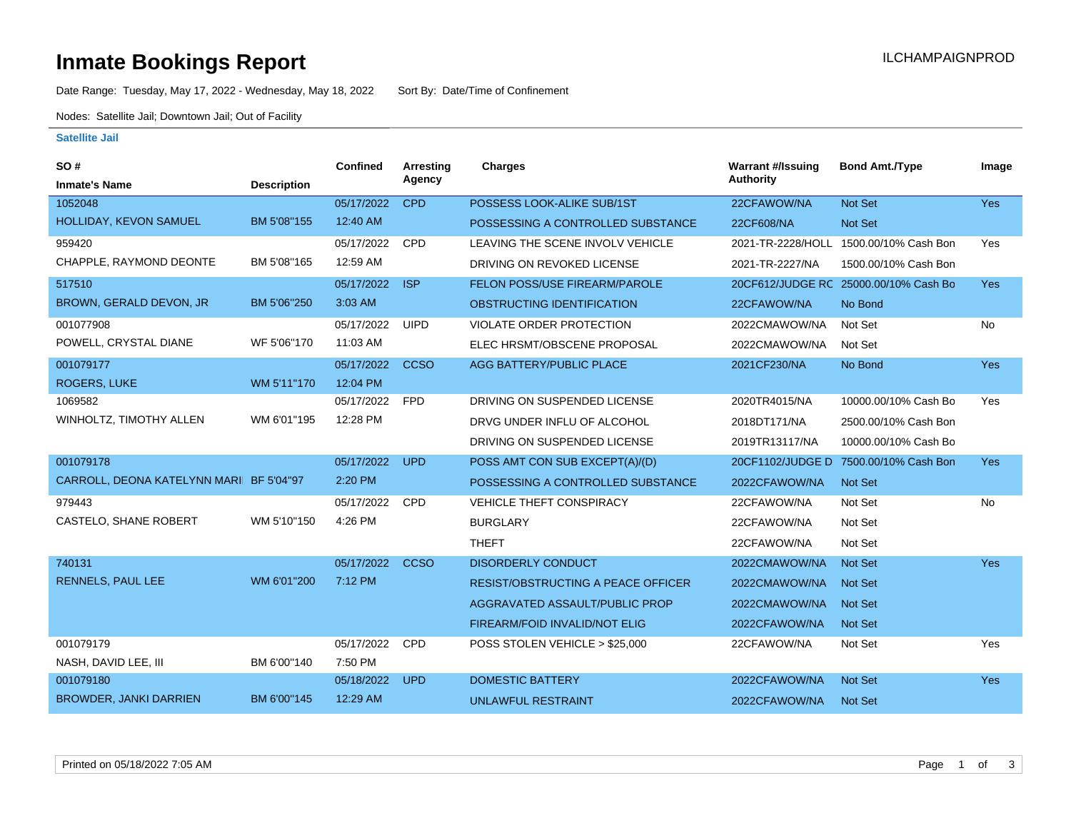# **Inmate Bookings Report Inmate Bookings Report**

Date Range: Tuesday, May 17, 2022 - Wednesday, May 18, 2022 Sort By: Date/Time of Confinement

Nodes: Satellite Jail; Downtown Jail; Out of Facility

#### **Satellite Jail**

| SO#                                     |                    | Confined   | Arresting   | <b>Charges</b>                            | <b>Warrant #/Issuing</b> | <b>Bond Amt./Type</b>                 | Image      |
|-----------------------------------------|--------------------|------------|-------------|-------------------------------------------|--------------------------|---------------------------------------|------------|
| <b>Inmate's Name</b>                    | <b>Description</b> |            | Agency      |                                           | <b>Authority</b>         |                                       |            |
| 1052048                                 |                    | 05/17/2022 | <b>CPD</b>  | POSSESS LOOK-ALIKE SUB/1ST                | 22CFAWOW/NA              | Not Set                               | Yes        |
| HOLLIDAY, KEVON SAMUEL                  | BM 5'08"155        | 12:40 AM   |             | POSSESSING A CONTROLLED SUBSTANCE         | 22CF608/NA               | Not Set                               |            |
| 959420                                  |                    | 05/17/2022 | <b>CPD</b>  | LEAVING THE SCENE INVOLV VEHICLE          | 2021-TR-2228/HOLL        | 1500.00/10% Cash Bon                  | Yes        |
| CHAPPLE, RAYMOND DEONTE                 | BM 5'08"165        | 12:59 AM   |             | DRIVING ON REVOKED LICENSE                | 2021-TR-2227/NA          | 1500.00/10% Cash Bon                  |            |
| 517510                                  |                    | 05/17/2022 | <b>ISP</b>  | FELON POSS/USE FIREARM/PAROLE             |                          | 20CF612/JUDGE RC 25000.00/10% Cash Bo | <b>Yes</b> |
| BROWN, GERALD DEVON, JR                 | BM 5'06"250        | 3:03 AM    |             | OBSTRUCTING IDENTIFICATION                | 22CFAWOW/NA              | No Bond                               |            |
| 001077908                               |                    | 05/17/2022 | <b>UIPD</b> | <b>VIOLATE ORDER PROTECTION</b>           | 2022CMAWOW/NA            | Not Set                               | No         |
| POWELL, CRYSTAL DIANE                   | WF 5'06"170        | 11:03 AM   |             | ELEC HRSMT/OBSCENE PROPOSAL               | 2022CMAWOW/NA            | Not Set                               |            |
| 001079177                               |                    | 05/17/2022 | <b>CCSO</b> | AGG BATTERY/PUBLIC PLACE                  | 2021CF230/NA             | No Bond                               | Yes        |
| <b>ROGERS, LUKE</b>                     | WM 5'11"170        | 12:04 PM   |             |                                           |                          |                                       |            |
| 1069582                                 |                    | 05/17/2022 | <b>FPD</b>  | DRIVING ON SUSPENDED LICENSE              | 2020TR4015/NA            | 10000.00/10% Cash Bo                  | Yes        |
| WINHOLTZ, TIMOTHY ALLEN                 | WM 6'01"195        | 12:28 PM   |             | DRVG UNDER INFLU OF ALCOHOL               | 2018DT171/NA             | 2500.00/10% Cash Bon                  |            |
|                                         |                    |            |             | DRIVING ON SUSPENDED LICENSE              | 2019TR13117/NA           | 10000.00/10% Cash Bo                  |            |
| 001079178                               |                    | 05/17/2022 | <b>UPD</b>  | POSS AMT CON SUB EXCEPT(A)/(D)            | 20CF1102/JUDGE D         | 7500.00/10% Cash Bon                  | <b>Yes</b> |
| CARROLL, DEONA KATELYNN MARI BF 5'04"97 |                    | 2:20 PM    |             | POSSESSING A CONTROLLED SUBSTANCE         | 2022CFAWOW/NA            | Not Set                               |            |
| 979443                                  |                    | 05/17/2022 | <b>CPD</b>  | VEHICLE THEFT CONSPIRACY                  | 22CFAWOW/NA              | Not Set                               | No         |
| CASTELO, SHANE ROBERT                   | WM 5'10"150        | 4:26 PM    |             | <b>BURGLARY</b>                           | 22CFAWOW/NA              | Not Set                               |            |
|                                         |                    |            |             | <b>THEFT</b>                              | 22CFAWOW/NA              | Not Set                               |            |
| 740131                                  |                    | 05/17/2022 | <b>CCSO</b> | <b>DISORDERLY CONDUCT</b>                 | 2022CMAWOW/NA            | <b>Not Set</b>                        | Yes        |
| <b>RENNELS, PAUL LEE</b>                | WM 6'01"200        | 7:12 PM    |             | <b>RESIST/OBSTRUCTING A PEACE OFFICER</b> | 2022CMAWOW/NA            | <b>Not Set</b>                        |            |
|                                         |                    |            |             | AGGRAVATED ASSAULT/PUBLIC PROP            | 2022CMAWOW/NA            | <b>Not Set</b>                        |            |
|                                         |                    |            |             | FIREARM/FOID INVALID/NOT ELIG             | 2022CFAWOW/NA            | <b>Not Set</b>                        |            |
| 001079179                               |                    | 05/17/2022 | <b>CPD</b>  | POSS STOLEN VEHICLE > \$25,000            | 22CFAWOW/NA              | Not Set                               | Yes        |
| NASH, DAVID LEE, III                    | BM 6'00"140        | 7:50 PM    |             |                                           |                          |                                       |            |
| 001079180                               |                    | 05/18/2022 | <b>UPD</b>  | <b>DOMESTIC BATTERY</b>                   | 2022CFAWOW/NA            | Not Set                               | Yes        |
| <b>BROWDER, JANKI DARRIEN</b>           | BM 6'00"145        | 12:29 AM   |             | UNLAWFUL RESTRAINT                        | 2022CFAWOW/NA            | Not Set                               |            |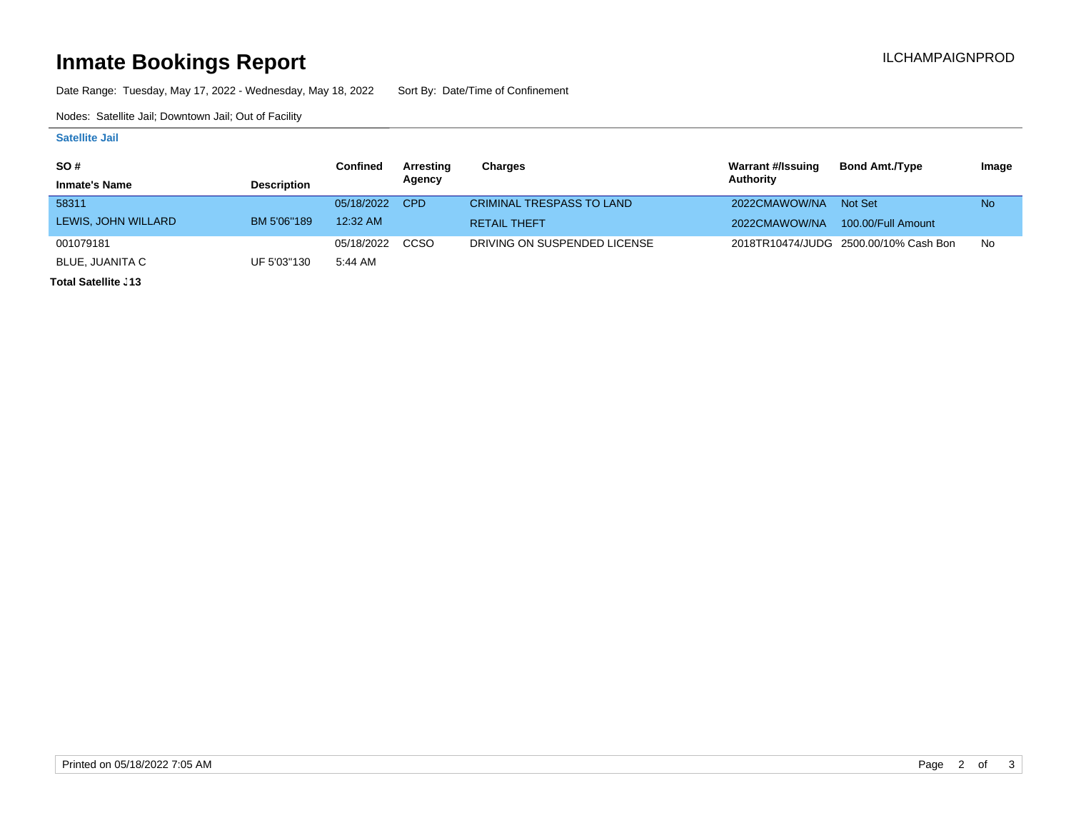# **Inmate Bookings Report Inmate Bookings Report**

Date Range: Tuesday, May 17, 2022 - Wednesday, May 18, 2022 Sort By: Date/Time of Confinement

Nodes: Satellite Jail; Downtown Jail; Out of Facility

### **Satellite Jail**

| <b>SO#</b>           |                    | Confined   | Arresting | Charges                          | Warrant #/Issuing | <b>Bond Amt./Type</b>                 | Image     |
|----------------------|--------------------|------------|-----------|----------------------------------|-------------------|---------------------------------------|-----------|
| <b>Inmate's Name</b> | <b>Description</b> |            | Agency    |                                  | Authority         |                                       |           |
| 58311                |                    | 05/18/2022 | CPD       | <b>CRIMINAL TRESPASS TO LAND</b> | 2022CMAWOW/NA     | Not Set                               | <b>No</b> |
| LEWIS, JOHN WILLARD  | BM 5'06"189        | 12:32 AM   |           | <b>RETAIL THEFT</b>              | 2022CMAWOW/NA     | 100.00/Full Amount                    |           |
| 001079181            |                    | 05/18/2022 | CCSO      | DRIVING ON SUSPENDED LICENSE     |                   | 2018TR10474/JUDG 2500.00/10% Cash Bon | No        |
| BLUE, JUANITA C      | UF 5'03"130        | 5:44 AM    |           |                                  |                   |                                       |           |

**Total Satellite <sub>-</sub>13**